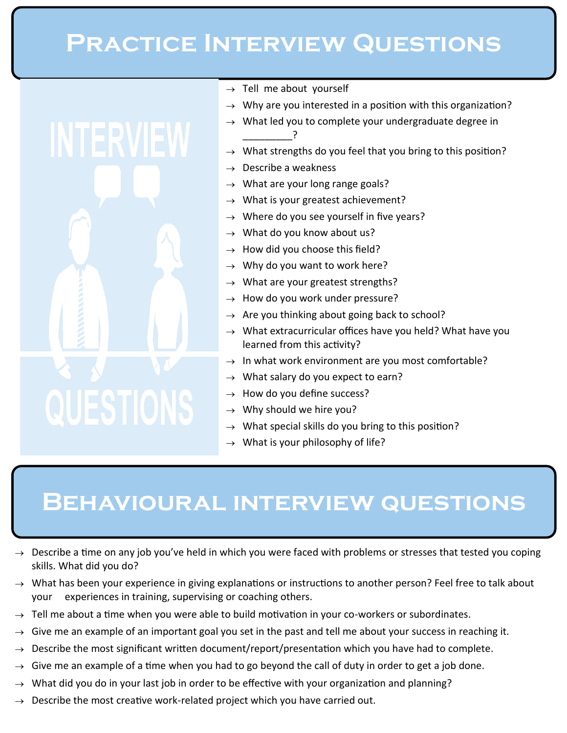## **Practice Interview Questions**



- $\rightarrow$  Tell me about yourself
- Why are you interested in a position with this organization?
- $\rightarrow$  What led you to complete your undergraduate degree in \_\_\_\_\_\_\_\_\_?
- What strengths do you feel that you bring to this position?
- Describe a weakness
- What are your long range goals?
- What is your greatest achievement?
- Where do you see yourself in five years?
- What do you know about us?
- How did you choose this field?
- Why do you want to work here?
- What are your greatest strengths?
- How do you work under pressure?
- Are you thinking about going back to school?
- $\rightarrow$  What extracurricular offices have you held? What have you learned from this activity?
- $\rightarrow$  In what work environment are you most comfortable?
- What salary do you expect to earn?
- $\rightarrow$  How do you define success?
- Why should we hire you?
- What special skills do you bring to this position?
- $\rightarrow$  What is your philosophy of life?

## **Behavioural interview questions**

- $\rightarrow$  Describe a time on any job you've held in which you were faced with problems or stresses that tested you coping skills. What did you do?
- $\rightarrow$  What has been your experience in giving explanations or instructions to another person? Feel free to talk about your experiences in training, supervising or coaching others.
- $\rightarrow$  Tell me about a time when you were able to build motivation in your co-workers or subordinates.
- $\rightarrow$  Give me an example of an important goal you set in the past and tell me about your success in reaching it.
- Describe the most significant written document/report/presentation which you have had to complete.
- Give me an example of a time when you had to go beyond the call of duty in order to get a job done.
- $\rightarrow$  What did you do in your last job in order to be effective with your organization and planning?
- $\rightarrow$  Describe the most creative work-related project which you have carried out.